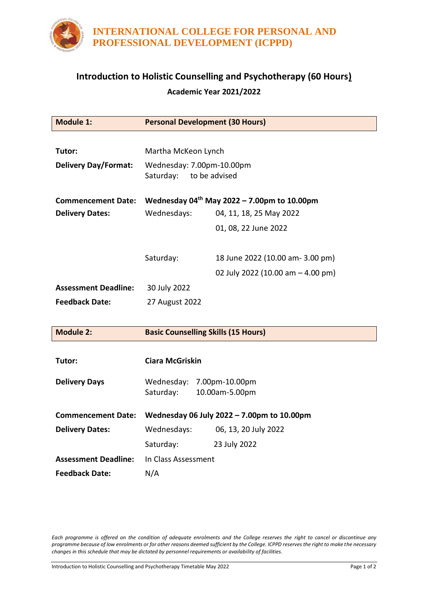

## **Introduction to Holistic Counselling and Psychotherapy (60 Hours) Academic Year 2021/2022**

| <b>Module 1:</b>            | <b>Personal Development (30 Hours)</b>                  |                                   |
|-----------------------------|---------------------------------------------------------|-----------------------------------|
|                             |                                                         |                                   |
| Tutor:                      | Martha McKeon Lynch                                     |                                   |
| <b>Delivery Day/Format:</b> | Wednesday: 7.00pm-10.00pm                               |                                   |
|                             | Saturday:<br>to be advised                              |                                   |
| <b>Commencement Date:</b>   | Wednesday 04 <sup>th</sup> May 2022 – 7.00pm to 10.00pm |                                   |
| <b>Delivery Dates:</b>      | Wednesdays:                                             | 04, 11, 18, 25 May 2022           |
|                             |                                                         | 01, 08, 22 June 2022              |
|                             |                                                         |                                   |
|                             | Saturday:                                               | 18 June 2022 (10.00 am- 3.00 pm)  |
|                             |                                                         | 02 July 2022 (10.00 am - 4.00 pm) |
| <b>Assessment Deadline:</b> | 30 July 2022                                            |                                   |
| <b>Feedback Date:</b>       | 27 August 2022                                          |                                   |
|                             |                                                         |                                   |
| <b>Module 2:</b>            | <b>Basic Counselling Skills (15 Hours)</b>              |                                   |
|                             |                                                         |                                   |
| Tutor:                      | <b>Ciara McGriskin</b>                                  |                                   |
| <b>Delivery Days</b>        | Wednesday: 7.00pm-10.00pm                               |                                   |
|                             | Saturday:                                               | 10.00am-5.00pm                    |
|                             |                                                         |                                   |
| <b>Commencement Date:</b>   | Wednesday 06 July 2022 - 7.00pm to 10.00pm              |                                   |
| <b>Delivery Dates:</b>      | Wednesdays:                                             | 06, 13, 20 July 2022              |
|                             | Saturday:                                               | 23 July 2022                      |
| <b>Assessment Deadline:</b> | In Class Assessment                                     |                                   |
| <b>Feedback Date:</b>       | N/A                                                     |                                   |

*Each programme is offered on the condition of adequate enrolments and the College reserves the right to cancel or discontinue any programme because of low enrolments or for other reasons deemed sufficient by the College. ICPPD reserves the right to make the necessary changes in this schedule that may be dictated by personnel requirements or availability of facilities.*